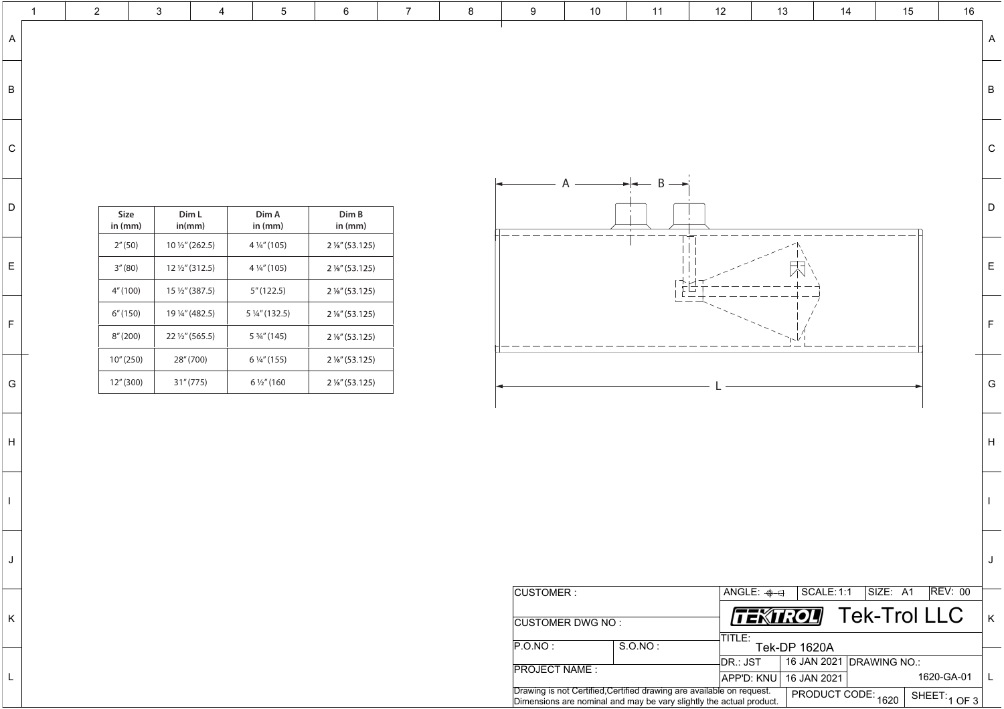|                | $\overline{2}$ |                                  | 3 | $\overline{4}$                                                          | $5\overline{)}$                                                   | $6\overline{6}$                                                                     | 7 | 8 | 9                               | 10                                                                                                                                           | 11                                                                                                                                                                                                                                                                                                                                                                                                                                                                              | 12                       | 13                                                 | 14                                                                  | 15                       | 16                          |              |
|----------------|----------------|----------------------------------|---|-------------------------------------------------------------------------|-------------------------------------------------------------------|-------------------------------------------------------------------------------------|---|---|---------------------------------|----------------------------------------------------------------------------------------------------------------------------------------------|---------------------------------------------------------------------------------------------------------------------------------------------------------------------------------------------------------------------------------------------------------------------------------------------------------------------------------------------------------------------------------------------------------------------------------------------------------------------------------|--------------------------|----------------------------------------------------|---------------------------------------------------------------------|--------------------------|-----------------------------|--------------|
| $\overline{A}$ |                |                                  |   |                                                                         |                                                                   |                                                                                     |   |   |                                 |                                                                                                                                              |                                                                                                                                                                                                                                                                                                                                                                                                                                                                                 |                          |                                                    |                                                                     |                          |                             |              |
| $\mathsf B$    |                |                                  |   |                                                                         |                                                                   |                                                                                     |   |   |                                 |                                                                                                                                              |                                                                                                                                                                                                                                                                                                                                                                                                                                                                                 |                          |                                                    |                                                                     |                          |                             | $\mathsf B$  |
| $\mathsf C$    |                |                                  |   |                                                                         |                                                                   |                                                                                     |   |   |                                 |                                                                                                                                              |                                                                                                                                                                                                                                                                                                                                                                                                                                                                                 |                          |                                                    |                                                                     |                          |                             | $\mathsf C$  |
| $\mathsf{D}$   |                | <b>Size</b><br>in (mm)           |   | Dim L<br>in(mm)                                                         | Dim A<br>in (mm)                                                  | Dim B<br>in (mm)                                                                    |   |   |                                 |                                                                                                                                              | $\rightarrow$ $\rightarrow$ $\rightarrow$ $\rightarrow$                                                                                                                                                                                                                                                                                                                                                                                                                         |                          |                                                    |                                                                     |                          |                             | $\mathsf{D}$ |
| E              |                | 2''(50)<br>3''(80)               |   | $10\frac{1}{2}$ " (262.5)<br>$12\frac{1}{2}$ " (312.5)                  | 4 1/4" (105)<br>4 1/4" (105)                                      | $2\frac{1}{8}$ " (53.125)<br>$2\frac{1}{8}$ " (53.125)                              |   |   |                                 |                                                                                                                                              |                                                                                                                                                                                                                                                                                                                                                                                                                                                                                 |                          | $\bigwedge$                                        |                                                                     |                          |                             | E            |
| F.             |                | 4" (100)<br>6''(150)<br>8''(200) |   | $15\frac{1}{2}$ " (387.5)<br>19 ¼" (482.5)<br>$22\frac{1}{2}$ " (565.5) | 5''(122.5)<br>5 $\frac{1}{4}$ " (132.5)<br>$5\frac{3}{4}$ " (145) | $2\frac{1}{8}$ " (53.125)<br>$2\frac{1}{8}$ " (53.125)<br>$2\frac{1}{8}$ " (53.125) |   |   |                                 |                                                                                                                                              | $\overline{\phantom{a}}$ $\overline{\phantom{a}}$ $\overline{\phantom{a}}$ $\overline{\phantom{a}}$ $\overline{\phantom{a}}$ $\overline{\phantom{a}}$ $\overline{\phantom{a}}$ $\overline{\phantom{a}}$ $\overline{\phantom{a}}$ $\overline{\phantom{a}}$ $\overline{\phantom{a}}$ $\overline{\phantom{a}}$ $\overline{\phantom{a}}$ $\overline{\phantom{a}}$ $\overline{\phantom{a}}$ $\overline{\phantom{a}}$ $\overline{\phantom{a}}$ $\overline{\phantom{a}}$ $\overline{\$ |                          | $\hspace{1.0cm} \overbrace{\hspace{1.0cm}}^{}$     |                                                                     |                          |                             |              |
| G              |                | 10''(250)<br>12" (300)           |   | 28" (700)<br>31" (775)                                                  | $6\frac{1}{4}$ " (155)<br>$6\frac{1}{2}$ " (160                   | $2\frac{1}{8}$ " (53.125)<br>$2\frac{1}{8}$ " (53.125)                              |   |   |                                 |                                                                                                                                              |                                                                                                                                                                                                                                                                                                                                                                                                                                                                                 |                          |                                                    |                                                                     |                          |                             | G            |
| H              |                |                                  |   |                                                                         |                                                                   |                                                                                     |   |   |                                 |                                                                                                                                              |                                                                                                                                                                                                                                                                                                                                                                                                                                                                                 |                          |                                                    |                                                                     |                          |                             | H            |
|                |                |                                  |   |                                                                         |                                                                   |                                                                                     |   |   |                                 |                                                                                                                                              |                                                                                                                                                                                                                                                                                                                                                                                                                                                                                 |                          |                                                    |                                                                     |                          |                             |              |
|                |                |                                  |   |                                                                         |                                                                   |                                                                                     |   |   |                                 |                                                                                                                                              |                                                                                                                                                                                                                                                                                                                                                                                                                                                                                 |                          |                                                    |                                                                     |                          |                             |              |
| K              |                |                                  |   |                                                                         |                                                                   |                                                                                     |   |   | CUSTOMER :                      | <b>CUSTOMER DWG NO:</b>                                                                                                                      |                                                                                                                                                                                                                                                                                                                                                                                                                                                                                 | $ $ TITLE:               | $\mid$ angle: $\oplus$ $\ominus$<br><b>TEXTROL</b> | <b>SCALE: 1:1</b>                                                   | SIZE: A1<br>Tek-Trol LLC | <b>REV: 00</b>              | $\mathsf{K}$ |
| $\mathsf{L}$   |                |                                  |   |                                                                         |                                                                   |                                                                                     |   |   | P.O.NO:<br><b>PROJECT NAME:</b> | Drawing is not Certified, Certified drawing are available on request.<br>Dimensions are nominal and may be vary slightly the actual product. | S.O.NO:                                                                                                                                                                                                                                                                                                                                                                                                                                                                         | $ {\sf DR} : {\sf JST} $ | <b>Tek-DP 1620A</b><br> APP'D: KNU                 | 16 JAN 2021 DRAWING NO.:<br>16 JAN 2021<br>  PRODUCT CODE: 1620   C |                          | 1620-GA-01<br>SHEET: 1 OF 3 |              |



| <b>CUSTOMER:</b>        |                                                                    |          |  |  |  |
|-------------------------|--------------------------------------------------------------------|----------|--|--|--|
| <b>CUSTOMER DWG NO:</b> |                                                                    |          |  |  |  |
| P. O. NO:               | S.O.NO:                                                            |          |  |  |  |
|                         |                                                                    | DR.: JST |  |  |  |
| <b>PROJECT NAME:</b>    |                                                                    | APP'D: K |  |  |  |
|                         | Drawing is not Certified, Certified drawing are available on reque |          |  |  |  |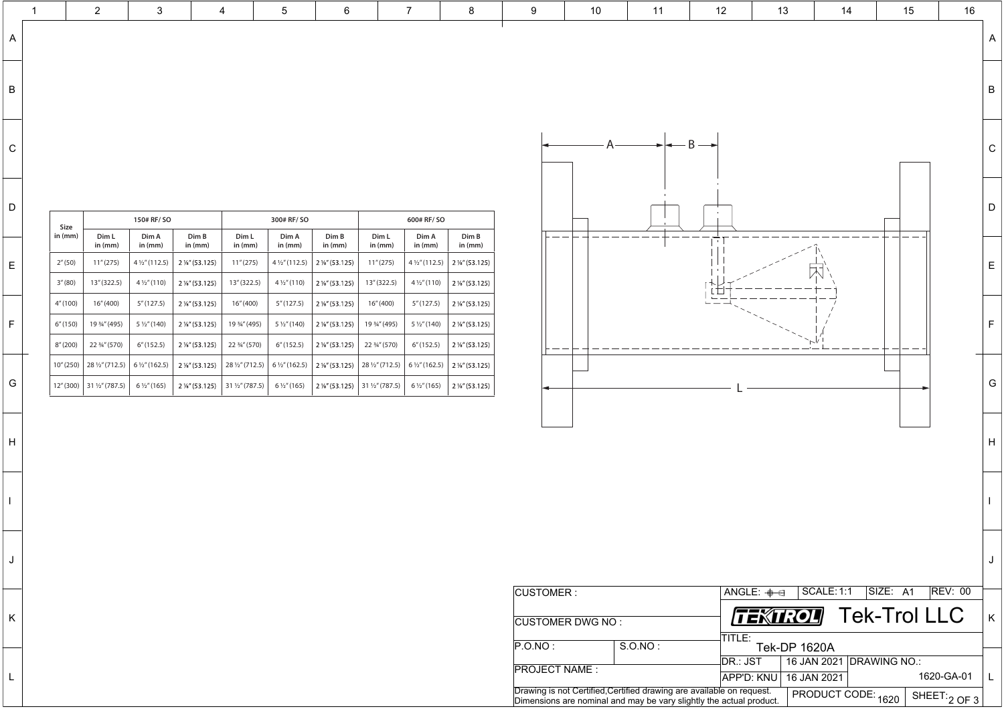| <b>CUSTOMER:</b>        |                                                                       | ANGLE: $\oplus$     |
|-------------------------|-----------------------------------------------------------------------|---------------------|
|                         |                                                                       |                     |
| <b>CUSTOMER DWG NO:</b> |                                                                       |                     |
| P. O. NO:               | S.O.NO:                                                               | TITLE:<br>Tek-      |
|                         |                                                                       | $\mathsf{DR}$ : JST |
| <b>PROJECT NAME:</b>    |                                                                       | <b>APP'D: KNU</b>   |
|                         | Drawing is not Certified, Certified drawing are available on request. |                     |
|                         | Dimensions are nominal and may be vary slightly the actual product.   |                     |

H

I

J

K

L



|          |                               |                           | $3\phantom{.0}$        |                                                                                                                                                                                                             | $\overline{4}$   | $5\overline{)}$         | $6\overline{6}$                                                  |                  |                  | 8                                                                                                                           | 9 | 10 | 11 | 12 | 13 | 14          | 15 | 16 |
|----------|-------------------------------|---------------------------|------------------------|-------------------------------------------------------------------------------------------------------------------------------------------------------------------------------------------------------------|------------------|-------------------------|------------------------------------------------------------------|------------------|------------------|-----------------------------------------------------------------------------------------------------------------------------|---|----|----|----|----|-------------|----|----|
|          |                               |                           |                        |                                                                                                                                                                                                             |                  |                         |                                                                  |                  |                  |                                                                                                                             |   |    |    |    |    |             |    |    |
|          |                               |                           |                        |                                                                                                                                                                                                             |                  |                         |                                                                  |                  |                  |                                                                                                                             |   |    |    |    |    |             |    |    |
|          |                               |                           |                        |                                                                                                                                                                                                             |                  |                         |                                                                  |                  |                  |                                                                                                                             |   |    |    |    |    |             |    |    |
|          |                               |                           |                        |                                                                                                                                                                                                             |                  |                         |                                                                  |                  |                  |                                                                                                                             |   |    |    |    |    |             |    |    |
|          |                               |                           |                        |                                                                                                                                                                                                             |                  |                         |                                                                  |                  |                  |                                                                                                                             |   |    |    |    |    |             |    |    |
|          |                               |                           |                        |                                                                                                                                                                                                             |                  |                         |                                                                  |                  |                  |                                                                                                                             |   |    |    |    |    |             |    |    |
| $D \mid$ |                               |                           | 150# RF/ SO            |                                                                                                                                                                                                             |                  | 300# RF/ SO             |                                                                  |                  | 600# RF/ SO      |                                                                                                                             |   |    |    |    |    |             |    |    |
|          | <b>Size</b><br>in (mm) $\mid$ | Dim L<br>in (mm)          | Dim A<br>in (mm)       | Dim B<br>in (mm)                                                                                                                                                                                            | Dim L<br>in (mm) | Dim A<br>in (mm)        | Dim B<br>in (mm)                                                 | Dim L<br>in (mm) | Dim A<br>in (mm) | Dim B<br>in (mm)                                                                                                            |   |    |    |    |    |             |    |    |
| E        | 2''(50)                       | 11''(275)                 |                        | $\mid$ 4 ½" (112.5) $\mid$ 2 ½" (53.125)                                                                                                                                                                    | 11''(275)        |                         | $4\frac{1}{2}$ " (112.5) $\vert 2\frac{1}{8}$ " (53.125) $\vert$ | 11''(275)        |                  | $4\frac{1}{2}$ " (112.5) $\,$ 2 1/8" (53.125)                                                                               |   |    |    |    |    |             |    |    |
|          | 3''(80)                       | 13" (322.5)               | $4\frac{1}{2}$ " (110) | $\vert$ 2 1/8" (53.125)                                                                                                                                                                                     | 13" (322.5)      | $4\frac{1}{2}$ " (110)  | $\mid$ 2 1⁄8" (53.125) $\mid$                                    | 13" (322.5)      |                  | $4\frac{1}{2}$ " (110) $\,$ 2 1/ <sub>8</sub> " (53.125)                                                                    |   |    |    |    |    | $\triangle$ |    |    |
|          | 4" (100)                      | 16" (400)                 | 5''(127.5)             | $\vert$ 2 1/8" (53.125)                                                                                                                                                                                     | 16" (400)        | 5" (127.5)              | $\mid$ 2 1⁄8" (53.125) $\mid$                                    | 16" (400)        | 5" (127.5)       | $2\frac{1}{8}$ (53.125)                                                                                                     |   |    |    |    |    |             |    |    |
| FI       |                               | $6''(150)$   193⁄4" (495) | $5\frac{1}{2}$ " (140) | $\vert$ 2 %" (53.125)                                                                                                                                                                                       |                  | 5 $\frac{1}{2}$ " (140) | $\mid$ 2 1⁄8" (53.125) $\mid$ 19 3⁄4" (495)                      |                  |                  | $5\frac{1}{2}$ " (140) $\,$ 2 1/ <sub>8</sub> " (53.125)                                                                    |   |    |    |    |    |             |    |    |
|          |                               | $8''(200)$ 22 3/4" (570)  | 6''(152.5)             | $2\frac{1}{8}$ " (53.125)                                                                                                                                                                                   | 22 3/4" (570)    | 6''(152.5)              | $\mid$ 2 1⁄8" (53.125) $\mid$ 22 3⁄4" (570)                      |                  | 6''(152.5)       | $2\frac{1}{8}$ (53.125)                                                                                                     |   |    |    |    |    |             |    |    |
|          |                               |                           |                        | $10''(250)$ $\mid$ $28\frac{1}{2}$ (712.5) $\mid$ 6 $\frac{1}{2}$ (162.5) $\mid$ 2 $\frac{1}{8}$ (53.125)                                                                                                   |                  |                         |                                                                  |                  |                  | $\mid$ 28 ½" (712.5) $\mid$ 6 ½" (162.5) $\mid$ 2 ½" (53.125) $\mid$ 28 ½" (712.5) $\mid$ 6 ½" (162.5) $\mid$ 2 ½" (53.125) |   |    |    |    |    |             |    |    |
| G        |                               |                           |                        | $\mid$ 12" (300) $\mid$ 31 ½" (787.5) $\mid$ $\mid$ 6 ½" (165) $\mid$ 2 ½" (53.125) $\mid$ 31 ½" (787.5) $\mid$ 6 ½" (165) $\mid$ 2 ½" (53.125) $\mid$ 31 ½" (787.5) $\mid$ 6 ½" (165) $\mid$ 2 ½" (53.125) |                  |                         |                                                                  |                  |                  |                                                                                                                             |   |    |    |    |    |             |    |    |
|          |                               |                           |                        |                                                                                                                                                                                                             |                  |                         |                                                                  |                  |                  |                                                                                                                             |   |    |    |    |    |             |    |    |